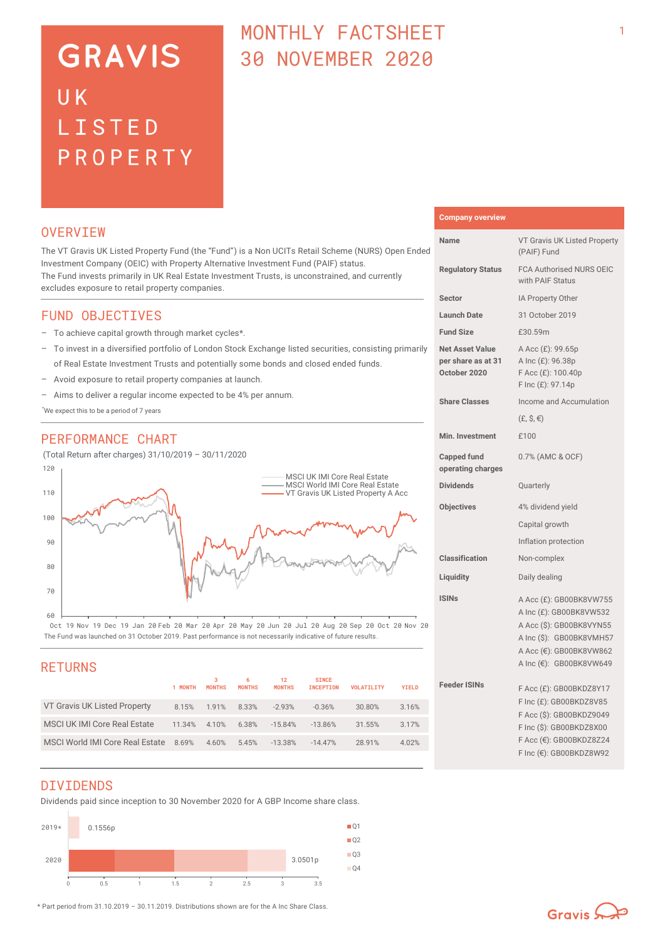# **GRAVIS** UK LISTED PROPERTY

# MONTHLY FACTSHEET 30 NOVEMBER 2020

### **OVERVTEW**

The VT Gravis UK Listed Property Fund (the "Fund") is a Non UCITs Retail Scheme (NURS) Open Ended Investment Company (OEIC) with Property Alternative Investment Fund (PAIF) status. The Fund invests primarily in UK Real Estate Investment Trusts, is unconstrained, and currently excludes exposure to retail property companies.

# FUND OBJECTIVES

- To achieve capital growth through market cycles\*.
- To invest in a diversified portfolio of London Stock Exchange listed securities, consisting primarily of Real Estate Investment Trusts and potentially some bonds and closed ended funds.
- Avoid exposure to retail property companies at launch.
- Aims to deliver a regular income expected to be 4% per annum.

\*We expect this to be a period of 7 years

# PERFORMANCE CHART

(Total Return after charges) 31/10/2019 – 30/11/2020



The Fund was launched on 31 October 2019. Past performance is not necessarily indicative of future results. Oct 19 Nov 19 Dec 19 Jan 20 Feb 20 Mar 20 Apr 20 May 20 Jun 20 Jul 20 Aug 20 Sep 20 Oct 20 Nov 20

| <b>RETURNS</b>                      |         |                    |                    |                     |                                  |                   |              |   |
|-------------------------------------|---------|--------------------|--------------------|---------------------|----------------------------------|-------------------|--------------|---|
|                                     | 1 MONTH | з<br><b>MONTHS</b> | 6<br><b>MONTHS</b> | 12<br><b>MONTHS</b> | <b>SINCE</b><br><b>INCEPTION</b> | <b>VOLATILITY</b> | <b>YIELD</b> | F |
| VT Gravis UK Listed Property        | 8.15%   | 1.91%              | 8.33%              | $-2.93%$            | $-0.36%$                         | 30.80%            | 3.16%        |   |
| <b>MSCI UK IMI Core Real Estate</b> | 11.34%  | 4.10%              | 6.38%              | $-15.84%$           | $-13.86%$                        | 31.55%            | 3.17%        |   |
| MSCI World IMI Core Real Estate     | 8.69%   | 4.60%              | 5.45%              | $-13.38%$           | $-14.47%$                        | 28.91%            | 4.02%        |   |
|                                     |         |                    |                    |                     |                                  |                   |              |   |

#### **Company overview**

| Name                                                         | VT Gravis UK Listed Property<br>(PAIF) Fund                                                                                                                      |  |  |
|--------------------------------------------------------------|------------------------------------------------------------------------------------------------------------------------------------------------------------------|--|--|
| <b>Regulatory Status</b>                                     | <b>FCA Authorised NURS OEIC</b><br>with PAIF Status                                                                                                              |  |  |
| Sector                                                       | IA Property Other                                                                                                                                                |  |  |
| <b>Launch Date</b>                                           | 31 October 2019                                                                                                                                                  |  |  |
| <b>Fund Size</b>                                             | £30.59m                                                                                                                                                          |  |  |
| <b>Net Asset Value</b><br>per share as at 31<br>October 2020 | A Acc (£): 99.65p<br>A Inc (£): 96.38p<br>F Acc (£): 100.40p<br>F Inc (£): 97.14p                                                                                |  |  |
| <b>Share Classes</b>                                         | Income and Accumulation                                                                                                                                          |  |  |
|                                                              | $(E, \hat{S}, \epsilon)$                                                                                                                                         |  |  |
| Min. Investment                                              | £100                                                                                                                                                             |  |  |
| <b>Capped fund</b><br>operating charges                      | 0.7% (AMC & OCF)                                                                                                                                                 |  |  |
| <b>Dividends</b>                                             | Quarterly                                                                                                                                                        |  |  |
| <b>Objectives</b>                                            | 4% dividend yield                                                                                                                                                |  |  |
|                                                              | Capital growth                                                                                                                                                   |  |  |
|                                                              | Inflation protection                                                                                                                                             |  |  |
| Classification                                               | Non-complex                                                                                                                                                      |  |  |
| Liquidity                                                    | Daily dealing                                                                                                                                                    |  |  |
| <b>ISINs</b>                                                 | A Acc (£): GB00BK8VW755<br>A Inc (£): GB00BK8VW532<br>A Acc (\$): GB00BK8VYN55<br>A Inc (\$): GB00BK8VMH57<br>A Acc (€): GB00BK8VW862<br>A Inc (€): GB00BK8VW649 |  |  |
| <b>Feeder ISINs</b>                                          | F Acc (£): GB00BKDZ8Y17<br>F Inc (£): GB00BKDZ8V85<br>F Acc (\$): GB00BKDZ9049<br>F Inc (\$): GB00BKDZ8X00<br>F Acc (€): GB00BKDZ8Z24<br>F Inc (€): GB00BKDZ8W92 |  |  |

### DIVIDENDS

Dividends paid since inception to 30 November 2020 for A GBP Income share class.



\* Part period from 31.10.2019 – 30.11.2019. Distributions shown are for the A Inc Share Class.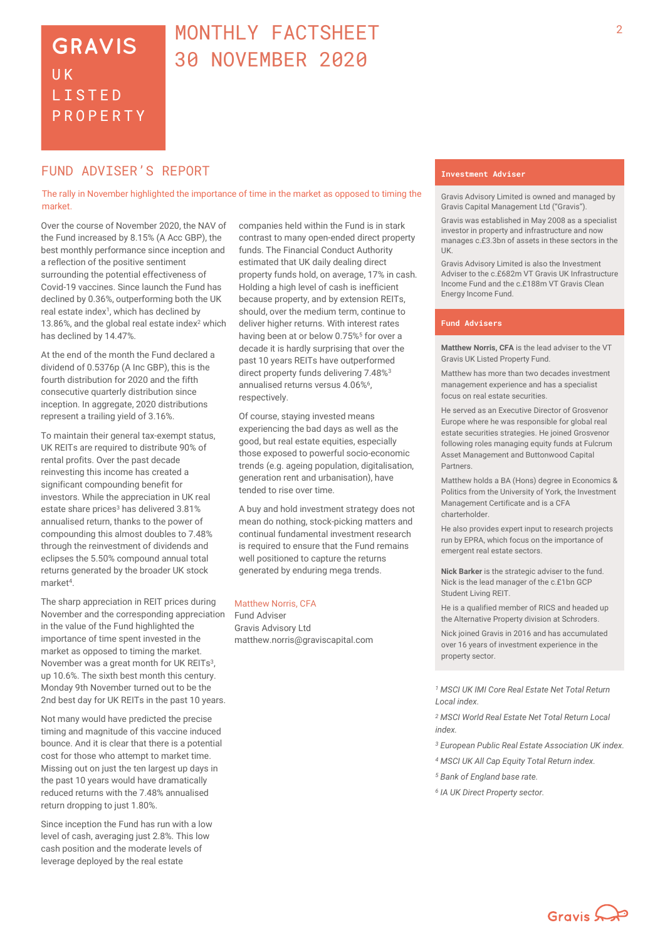# <sup>2</sup> MONTHLY FACTSHEET 30 NOVEMBER 2020

# **FUND ADVISER'S REPORT THE EXECUTION OF A LINE SET ADVISER** THE SET ADVISER IN THE SET ADVISER

The rally in November highlighted the importance of time in the market as opposed to timing the market.

Over the course of November 2020, the NAV of the Fund increased by 8.15% (A Acc GBP), the best monthly performance since inception and a reflection of the positive sentiment surrounding the potential effectiveness of Covid-19 vaccines. Since launch the Fund has declined by 0.36%, outperforming both the UK real estate index<sup>1</sup>, which has declined by 13.86%, and the global real estate index<sup>2</sup> which has declined by 14.47%.

At the end of the month the Fund declared a dividend of 0.5376p (A Inc GBP), this is the fourth distribution for 2020 and the fifth consecutive quarterly distribution since inception. In aggregate, 2020 distributions represent a trailing yield of 3.16%.

To maintain their general tax-exempt status, UK REITs are required to distribute 90% of rental profits. Over the past decade reinvesting this income has created a significant compounding benefit for investors. While the appreciation in UK real estate share prices<sup>3</sup> has delivered 3.81% annualised return, thanks to the power of compounding this almost doubles to 7.48% through the reinvestment of dividends and eclipses the 5.50% compound annual total returns generated by the broader UK stock market<sup>4</sup>.

The sharp appreciation in REIT prices during November and the corresponding appreciation in the value of the Fund highlighted the importance of time spent invested in the market as opposed to timing the market. November was a great month for UK REITs<sup>3</sup>, up 10.6%. The sixth best month this century. Monday 9th November turned out to be the 2nd best day for UK REITs in the past 10 years.

Not many would have predicted the precise timing and magnitude of this vaccine induced bounce. And it is clear that there is a potential cost for those who attempt to market time. Missing out on just the ten largest up days in the past 10 years would have dramatically reduced returns with the 7.48% annualised return dropping to just 1.80%.

Since inception the Fund has run with a low level of cash, averaging just 2.8%. This low cash position and the moderate levels of leverage deployed by the real estate

companies held within the Fund is in stark contrast to many open-ended direct property funds. The Financial Conduct Authority estimated that UK daily dealing direct property funds hold, on average, 17% in cash. Holding a high level of cash is inefficient because property, and by extension REITs, should, over the medium term, continue to deliver higher returns. With interest rates having been at or below 0.75%<sup>5</sup> for over a decade it is hardly surprising that over the past 10 years REITs have outperformed direct property funds delivering 7.48%<sup>3</sup> annualised returns versus 4.06%<sup>6</sup>, respectively.

Of course, staying invested means experiencing the bad days as well as the good, but real estate equities, especially those exposed to powerful socio-economic trends (e.g. ageing population, digitalisation, generation rent and urbanisation), have tended to rise over time.

A buy and hold investment strategy does not mean do nothing, stock-picking matters and continual fundamental investment research is required to ensure that the Fund remains well positioned to capture the returns generated by enduring mega trends.

#### Matthew Norris, CFA

Fund Adviser Gravis Advisory Ltd matthew.norris@graviscapital.com

Gravis Advisory Limited is owned and managed by Gravis Capital Management Ltd ("Gravis").

Gravis was established in May 2008 as a specialist investor in property and infrastructure and now manages c.£3.3bn of assets in these sectors in the UK.

Gravis Advisory Limited is also the Investment Adviser to the c. £682m VT Gravis UK Infrastructure Income Fund and the c.£188m VT Gravis Clean Energy Income Fund.

### **Fund Advisers**

**Matthew Norris, CFA** is the lead adviser to the VT Gravis UK Listed Property Fund.

Matthew has more than two decades investment management experience and has a specialist focus on real estate securities.

He served as an Executive Director of Grosvenor Europe where he was responsible for global real estate securities strategies. He joined Grosvenor following roles managing equity funds at Fulcrum Asset Management and Buttonwood Capital **Partners** 

Matthew holds a BA (Hons) degree in Economics & Politics from the University of York, the Investment Management Certificate and is a CFA charterholder.

He also provides expert input to research projects run by EPRA, which focus on the importance of emergent real estate sectors.

**Nick Barker** is the strategic adviser to the fund. Nick is the lead manager of the c.£1bn GCP Student Living REIT.

He is a qualified member of RICS and headed up the Alternative Property division at Schroders.

Nick joined Gravis in 2016 and has accumulated over 16 years of investment experience in the property sector.

*<sup>1</sup> MSCI UK IMI Core Real Estate Net Total Return Local index.*

*<sup>2</sup> MSCI World Real Estate Net Total Return Local index.*

*<sup>3</sup> European Public Real Estate Association UK index.*

- *<sup>4</sup> MSCI UK All Cap Equity Total Return index.*
- *<sup>5</sup> Bank of England base rate.*
- *<sup>6</sup> IA UK Direct Property sector.*